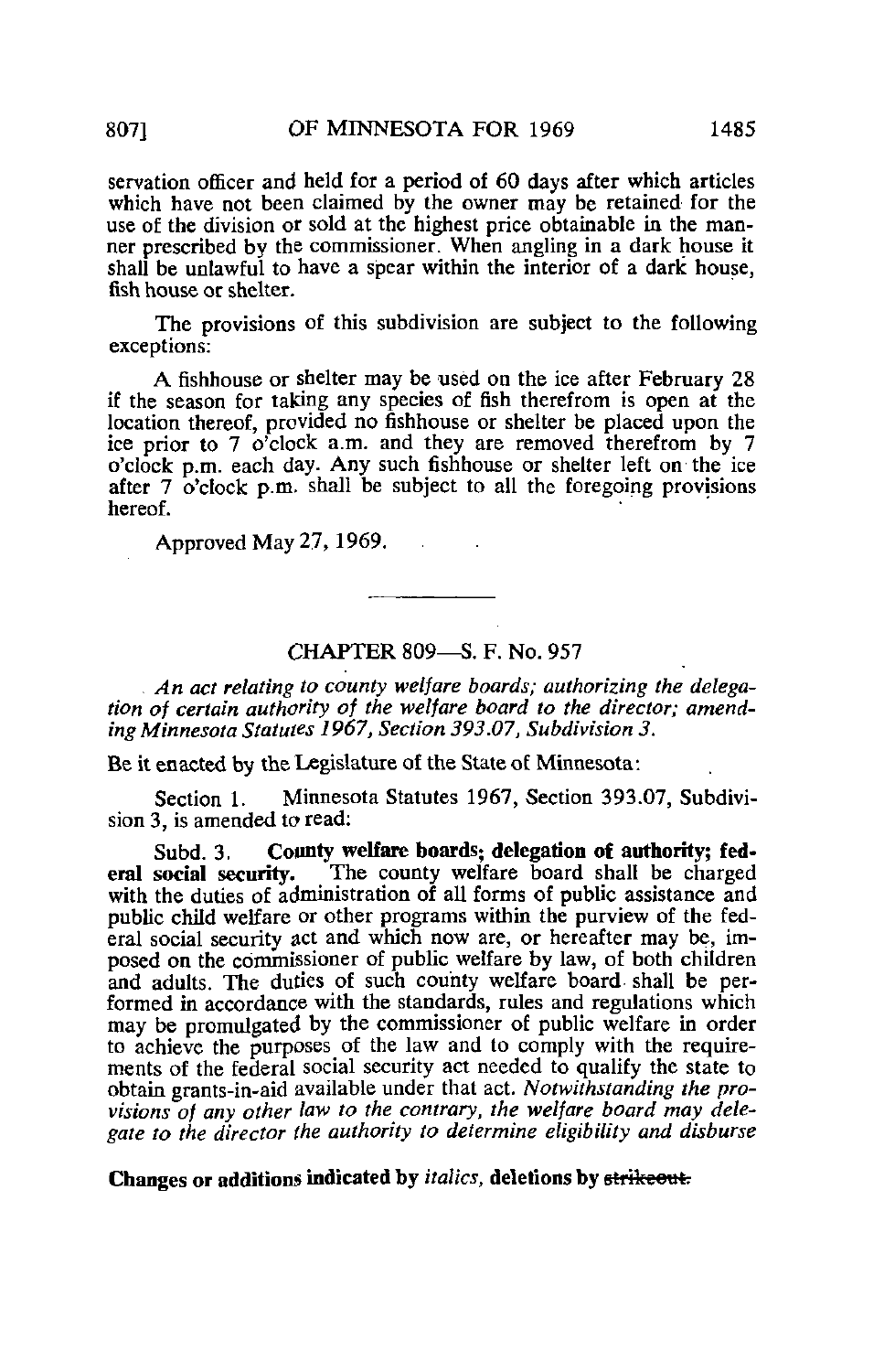servation officer and held for a period of 60 days after which articles which have not been claimed by the owner may be retained for the use of the division or sold at the highest price obtainable in the manner prescribed by the commissioner. When angling in a dark house it shall be unlawful to have a spear within the interior of a dark house, fish house or shelter.

The provisions of this subdivision are subject to the following exceptions:

A fishhouse or shelter may be used on the ice after February 28 if the season for taking any species of fish therefrom is open at the location thereof, provided no fishhouse or shelter be placed upon the ice prior to 7  $o^{\prime}$ clock a.m. and they are removed therefrom by 7 o'clock p.m. each day. Any such fishhouse or shelter left on the ice after  $7 \text{ o'clock } p.m.$  shall be subject to all the foregoing provisions hereof.

Approved May 27,1969.

### CHAPTER 809—S. F. No. 957

. An act relating to county welfare boards; authorizing the delegation of certain authority of the welfare board to the director; amending Minnesota Statutes 1967, Section 393.07, Subdivision 3.

Be it enacted by the Legislature of the State of Minnesota:

Section 1. Minnesota Statutes 1967, Section 393.07, Subdivision 3, is amended to read:

Subd. 3. County welfare boards; delegation of authority; federal social security. The county welfare board shall be charged The county welfare board shall be charged with the duties of administration of all forms of public assistance and public child welfare or other programs within the purview of the federal social security act and which now are, or hereafter may be, imposed on the commissioner of public welfare by law, of both children and adults. The duties of such county welfare board, shall be performed in accordance with the standards, rules and regulations which may be promulgated by the commissioner of public welfare in order to achieve the purposes of the law and to comply with the requirements of the federal social security act needed to qualify the state to obtain grants-in-aid available under that act. Notwithstanding the provisions of any other law to the contrary, the welfare board may delegate to the director the authority to determine eligibility and disburse

Changes or additions indicated by *italics*, deletions by strikeout.